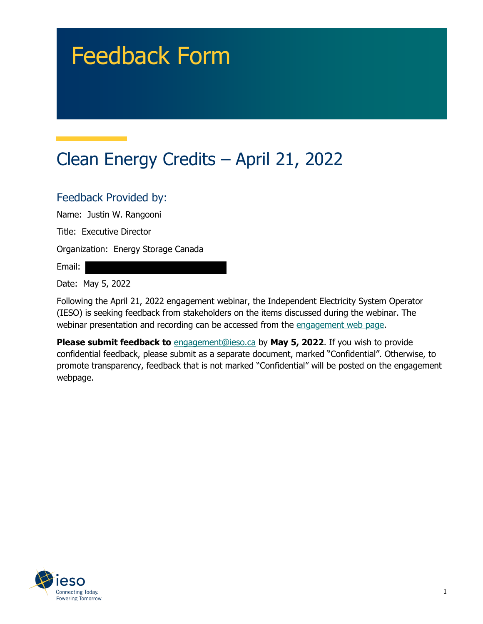# Feedback Form

# Clean Energy Credits – April 21, 2022

#### Feedback Provided by:

Name: Justin W. Rangooni

Title: Executive Director

Organization: Energy Storage Canada

Email:

Date: May 5, 2022

Following the April 21, 2022 engagement webinar, the Independent Electricity System Operator (IESO) is seeking feedback from stakeholders on the items discussed during the webinar. The webinar presentation and recording can be accessed from the [engagement web page.](https://www.ieso.ca/en/Sector-Participants/Engagement-Initiatives/Engagements/Clean-Energy-Credits)

**Please submit feedback to** [engagement@ieso.ca](mailto:engagement@ieso.ca) by **May 5, 2022**. If you wish to provide confidential feedback, please submit as a separate document, marked "Confidential". Otherwise, to promote transparency, feedback that is not marked "Confidential" will be posted on the engagement webpage.

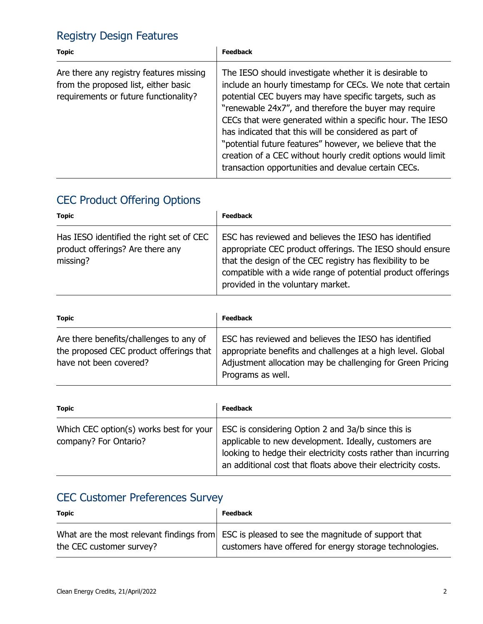## Registry Design Features

| <b>Topic</b>                                                                                                             | <b>Feedback</b>                                                                                                                                                                                                                                                                                                                                                                                                                                                                                                                                  |
|--------------------------------------------------------------------------------------------------------------------------|--------------------------------------------------------------------------------------------------------------------------------------------------------------------------------------------------------------------------------------------------------------------------------------------------------------------------------------------------------------------------------------------------------------------------------------------------------------------------------------------------------------------------------------------------|
| Are there any registry features missing<br>from the proposed list, either basic<br>requirements or future functionality? | The IESO should investigate whether it is desirable to<br>include an hourly timestamp for CECs. We note that certain<br>potential CEC buyers may have specific targets, such as<br>"renewable 24x7", and therefore the buyer may require<br>CECs that were generated within a specific hour. The IESO<br>has indicated that this will be considered as part of<br>"potential future features" however, we believe that the<br>creation of a CEC without hourly credit options would limit<br>transaction opportunities and devalue certain CECs. |

## CEC Product Offering Options

| <b>Topic</b>                                                                             | <b>Feedback</b>                                                                                                                                                                                                                                                                     |
|------------------------------------------------------------------------------------------|-------------------------------------------------------------------------------------------------------------------------------------------------------------------------------------------------------------------------------------------------------------------------------------|
| Has IESO identified the right set of CEC<br>product offerings? Are there any<br>missing? | ESC has reviewed and believes the IESO has identified<br>appropriate CEC product offerings. The IESO should ensure<br>that the design of the CEC registry has flexibility to be<br>compatible with a wide range of potential product offerings<br>provided in the voluntary market. |

| <b>Topic</b>                                                                                                 | <b>Feedback</b>                                                                                                                                                                                         |
|--------------------------------------------------------------------------------------------------------------|---------------------------------------------------------------------------------------------------------------------------------------------------------------------------------------------------------|
| Are there benefits/challenges to any of<br>the proposed CEC product offerings that<br>have not been covered? | ESC has reviewed and believes the IESO has identified<br>appropriate benefits and challenges at a high level. Global<br>Adjustment allocation may be challenging for Green Pricing<br>Programs as well. |

| <b>Topic</b>                                                     | <b>Feedback</b>                                                                                                                                                                                                                                |
|------------------------------------------------------------------|------------------------------------------------------------------------------------------------------------------------------------------------------------------------------------------------------------------------------------------------|
| Which CEC option(s) works best for your<br>company? For Ontario? | ESC is considering Option 2 and 3a/b since this is<br>applicable to new development. Ideally, customers are<br>looking to hedge their electricity costs rather than incurring<br>an additional cost that floats above their electricity costs. |

## CEC Customer Preferences Survey

| <b>Topic</b>             | <b>Feedback</b>                                                                                                                                         |
|--------------------------|---------------------------------------------------------------------------------------------------------------------------------------------------------|
| the CEC customer survey? | What are the most relevant findings from ESC is pleased to see the magnitude of support that<br>customers have offered for energy storage technologies. |